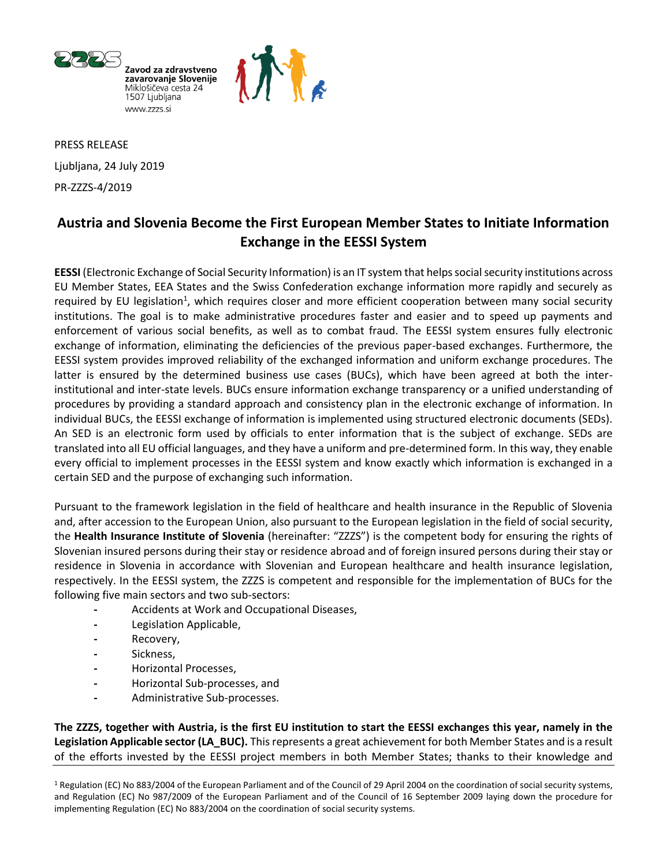



PRESS RELEASE Ljubljana, 24 July 2019 PR-ZZZS-4/2019

# **Austria and Slovenia Become the First European Member States to Initiate Information Exchange in the EESSI System**

**EESSI** (Electronic Exchange of Social Security Information) is an IT system that helps social security institutions across EU Member States, EEA States and the Swiss Confederation exchange information more rapidly and securely as required by EU legislation<sup>1</sup>, which requires closer and more efficient cooperation between many social security institutions. The goal is to make administrative procedures faster and easier and to speed up payments and enforcement of various social benefits, as well as to combat fraud. The EESSI system ensures fully electronic exchange of information, eliminating the deficiencies of the previous paper-based exchanges. Furthermore, the EESSI system provides improved reliability of the exchanged information and uniform exchange procedures. The latter is ensured by the determined business use cases (BUCs), which have been agreed at both the interinstitutional and inter-state levels. BUCs ensure information exchange transparency or a unified understanding of procedures by providing a standard approach and consistency plan in the electronic exchange of information. In individual BUCs, the EESSI exchange of information is implemented using structured electronic documents (SEDs). An SED is an electronic form used by officials to enter information that is the subject of exchange. SEDs are translated into all EU official languages, and they have a uniform and pre-determined form. In this way, they enable every official to implement processes in the EESSI system and know exactly which information is exchanged in a certain SED and the purpose of exchanging such information.

Pursuant to the framework legislation in the field of healthcare and health insurance in the Republic of Slovenia and, after accession to the European Union, also pursuant to the European legislation in the field of social security, the **Health Insurance Institute of Slovenia** (hereinafter: "ZZZS") is the competent body for ensuring the rights of Slovenian insured persons during their stay or residence abroad and of foreign insured persons during their stay or residence in Slovenia in accordance with Slovenian and European healthcare and health insurance legislation, respectively. In the EESSI system, the ZZZS is competent and responsible for the implementation of BUCs for the following five main sectors and two sub-sectors:

- **-** Accidents at Work and Occupational Diseases,
- **-** Legislation Applicable,
- **-** Recovery,
- **-** Sickness,
- **-** Horizontal Processes,
- **-** Horizontal Sub-processes, and
- **-** Administrative Sub-processes.

**The ZZZS, together with Austria, is the first EU institution to start the EESSI exchanges this year, namely in the Legislation Applicable sector (LA\_BUC).** This represents a great achievement for both Member States and is a result of the efforts invested by the EESSI project members in both Member States; thanks to their knowledge and

<sup>1</sup> Regulation (EC) No 883/2004 of the European Parliament and of the Council of 29 April 2004 on the coordination of social security systems, and Regulation (EC) No 987/2009 of the European Parliament and of the Council of 16 September 2009 laying down the procedure for implementing Regulation (EC) No 883/2004 on the coordination of social security systems.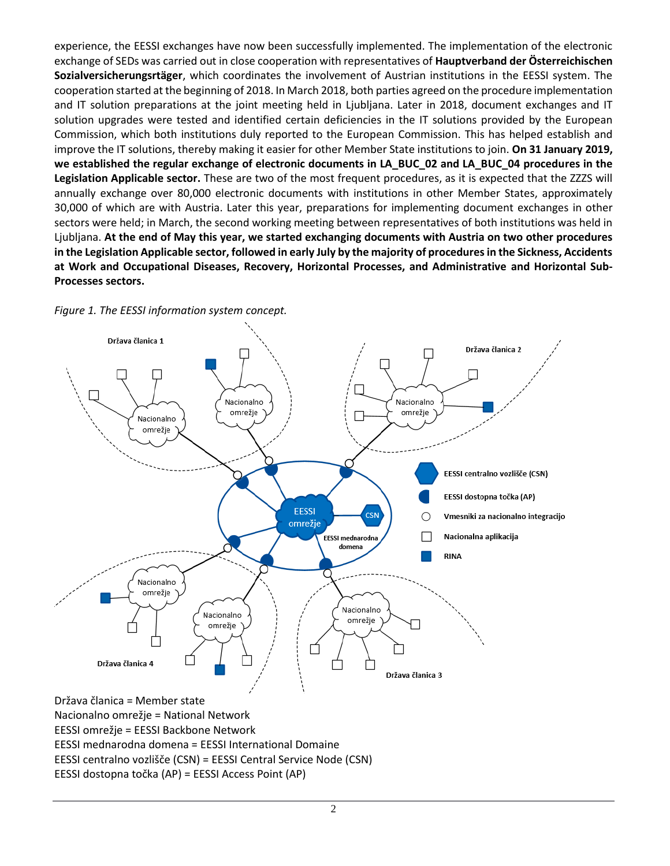experience, the EESSI exchanges have now been successfully implemented. The implementation of the electronic exchange of SEDs was carried out in close cooperation with representatives of **Hauptverband der Österreichischen Sozialversicherungsrtäger**, which coordinates the involvement of Austrian institutions in the EESSI system. The cooperation started at the beginning of 2018. In March 2018, both parties agreed on the procedure implementation and IT solution preparations at the joint meeting held in Ljubljana. Later in 2018, document exchanges and IT solution upgrades were tested and identified certain deficiencies in the IT solutions provided by the European Commission, which both institutions duly reported to the European Commission. This has helped establish and improve the IT solutions, thereby making it easier for other Member State institutions to join. **On 31 January 2019, we established the regular exchange of electronic documents in LA\_BUC\_02 and LA\_BUC\_04 procedures in the Legislation Applicable sector.** These are two of the most frequent procedures, as it is expected that the ZZZS will annually exchange over 80,000 electronic documents with institutions in other Member States, approximately 30,000 of which are with Austria. Later this year, preparations for implementing document exchanges in other sectors were held; in March, the second working meeting between representatives of both institutions was held in Ljubljana. **At the end of May this year, we started exchanging documents with Austria on two other procedures in the Legislation Applicable sector, followed in early July by the majority of procedures in the Sickness, Accidents at Work and Occupational Diseases, Recovery, Horizontal Processes, and Administrative and Horizontal Sub-Processes sectors.**